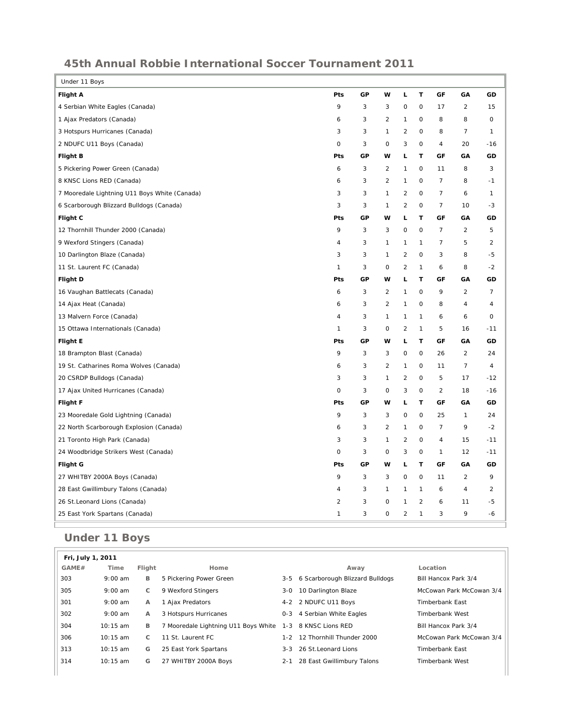## **45th Annual Robbie International Soccer Tournament 2011**

| Under 11 Boys                                 |                         |    |                     |                |                |                |                |                |
|-----------------------------------------------|-------------------------|----|---------------------|----------------|----------------|----------------|----------------|----------------|
| <b>Flight A</b>                               | Pts                     | GP | W                   | L              | $\mathsf T$    | GF             | GA             | GD             |
| 4 Serbian White Eagles (Canada)               | 9                       | 3  | 3                   | $\mathsf{O}$   | 0              | 17             | $\overline{2}$ | 15             |
| 1 Ajax Predators (Canada)                     | 6                       | 3  | $\overline{2}$      | $\mathbf{1}$   | 0              | 8              | 8              | 0              |
| 3 Hotspurs Hurricanes (Canada)                | 3                       | 3  | $\mathbf{1}$        | $\overline{c}$ | 0              | 8              | 7              | 1              |
| 2 NDUFC U11 Boys (Canada)                     | 0                       | 3  | 0                   | 3              | 0              | 4              | 20             | $-16$          |
| <b>Flight B</b>                               | Pts                     | GP | w                   | L              | т              | GF             | GA             | GD             |
| 5 Pickering Power Green (Canada)              | 6                       | 3  | 2                   | 1              | 0              | 11             | 8              | 3              |
| 8 KNSC Lions RED (Canada)                     | 6                       | 3  | $\sqrt{2}$          | $\mathbf{1}$   | 0              | $\overline{7}$ | 8              | $-1$           |
| 7 Mooredale Lightning U11 Boys White (Canada) | 3                       | 3  | $\mathbf{1}$        | $\overline{c}$ | 0              | $\overline{7}$ | 6              | $\mathbf{1}$   |
| 6 Scarborough Blizzard Bulldogs (Canada)      | 3                       | 3  | $\mathbf{1}$        | $\overline{2}$ | 0              | $\overline{7}$ | 10             | $-3$           |
| Flight C                                      | Pts                     | GP | w                   | L              | T              | GF             | GA             | GD             |
| 12 Thornhill Thunder 2000 (Canada)            | 9                       | 3  | 3                   | $\mathsf O$    | 0              | $\overline{7}$ | $\overline{2}$ | 5              |
| 9 Wexford Stingers (Canada)                   | 4                       | 3  | $\mathbf{1}$        | $\mathbf{1}$   | 1              | $\overline{7}$ | 5              | $\overline{2}$ |
| 10 Darlington Blaze (Canada)                  | 3                       | 3  | $\mathbf{1}$        | $\overline{2}$ | 0              | 3              | 8              | $-5$           |
| 11 St. Laurent FC (Canada)                    | 1                       | 3  | 0                   | $\overline{2}$ | 1              | 6              | 8              | $-2$           |
| <b>Flight D</b>                               | Pts                     | GP | w                   | L              | т              | GF             | GA             | GD             |
| 16 Vaughan Battlecats (Canada)                | 6                       | 3  | $\overline{2}$      | $\mathbf{1}$   | 0              | 9              | $\overline{2}$ | $\overline{7}$ |
| 14 Ajax Heat (Canada)                         | 6                       | 3  | $\overline{2}$      | $\mathbf{1}$   | 0              | 8              | 4              | 4              |
| 13 Malvern Force (Canada)                     | 4                       | 3  | $\mathbf{1}$        | $\mathbf{1}$   | 1              | 6              | 6              | 0              |
| 15 Ottawa Internationals (Canada)             | $\mathbf{1}$            | 3  | $\circ$             | $\sqrt{2}$     | $\mathbf{1}$   | 5              | 16             | $-11$          |
| <b>Flight E</b>                               | Pts                     | GP | w                   | L              | Т              | GF             | GA             | GD             |
| 18 Brampton Blast (Canada)                    | 9                       | 3  | 3                   | $\circ$        | $\circ$        | 26             | $\overline{c}$ | 24             |
| 19 St. Catharines Roma Wolves (Canada)        | 6                       | 3  | $\overline{2}$      | $\mathbf{1}$   | $\mathsf{O}$   | 11             | $\overline{7}$ | 4              |
| 20 CSRDP Bulldogs (Canada)                    | 3                       | 3  | $\mathbf{1}$        | $\overline{2}$ | 0              | 5              | 17             | $-12$          |
| 17 Ajax United Hurricanes (Canada)            | 0                       | 3  | $\circ$             | 3              | 0              | $\overline{2}$ | 18             | $-16$          |
| Flight F                                      | Pts                     | GP | w                   | L              | т              | GF             | GΑ             | GD             |
| 23 Mooredale Gold Lightning (Canada)          | 9                       | 3  | 3                   | $\circ$        | $\mathsf{O}$   | 25             | 1              | 24             |
| 22 North Scarborough Explosion (Canada)       | 6                       | 3  | $\overline{2}$      | $\mathbf{1}$   | 0              | $\overline{7}$ | 9              | $-2$           |
| 21 Toronto High Park (Canada)                 | 3                       | 3  | 1                   | $\overline{2}$ | 0              | 4              | 15             | $-11$          |
| 24 Woodbridge Strikers West (Canada)          | 0                       | 3  | 0                   | 3              | 0              | $\mathbf{1}$   | 12             | $-11$          |
| <b>Flight G</b>                               | Pts                     | GP | w                   | L              | т              | GF             | GA             | GD             |
| 27 WHITBY 2000A Boys (Canada)                 | 9                       | 3  | 3                   | $\mathsf{O}$   | 0              | 11             | $\overline{c}$ | 9              |
| 28 East Gwillimbury Talons (Canada)           | 4                       | 3  | $\mathbf{1}$        | $\mathbf{1}$   | 1              | 6              | 4              | $\overline{c}$ |
| 26 St.Leonard Lions (Canada)                  | $\overline{\mathbf{c}}$ | 3  | $\mathsf{O}\xspace$ | $\mathbf{1}$   | $\overline{2}$ | 6              | 11             | -5             |
| 25 East York Spartans (Canada)                | $\mathbf{1}$            | 3  | $\circ$             | $\overline{2}$ | 1              | 3              | 9              | -6             |

## **Under 11 Boys**

| Fri, July 1, 2011 |            |              |                                      |         |                                 |                          |
|-------------------|------------|--------------|--------------------------------------|---------|---------------------------------|--------------------------|
| GAME#             | Time       | Flight       | Home                                 |         | Away                            | Location                 |
| 303               | $9:00$ am  | B            | 5 Pickering Power Green              | 3-5     | 6 Scarborough Blizzard Bulldogs | Bill Hancox Park 3/4     |
| 305               | $9:00$ am  | C            | 9 Wexford Stingers                   | $3-0$   | 10 Darlington Blaze             | McCowan Park McCowan 3/4 |
| 301               | $9:00$ am  | A            | 1 Ajax Predators                     |         | 4-2 2 NDUFC U11 Boys            | Timberbank East          |
| 302               | $9:00$ am  | $\mathsf{A}$ | 3 Hotspurs Hurricanes                | 0-3     | 4 Serbian White Eagles          | Timberbank West          |
| 304               | $10:15$ am | B            | 7 Mooredale Lightning U11 Boys White | $1 - 3$ | 8 KNSC Lions RED                | Bill Hancox Park 3/4     |
| 306               | $10:15$ am | C            | 11 St. Laurent FC                    | $1 - 2$ | 12 Thornhill Thunder 2000       | McCowan Park McCowan 3/4 |
| 313               | $10:15$ am | G            | 25 East York Spartans                | $3 - 3$ | 26 St. Leonard Lions            | Timberbank East          |
| 314               | $10:15$ am | G            | 27 WHITBY 2000A Boys                 | $2 - 1$ | 28 East Gwillimbury Talons      | Timberbank West          |
|                   |            |              |                                      |         |                                 |                          |